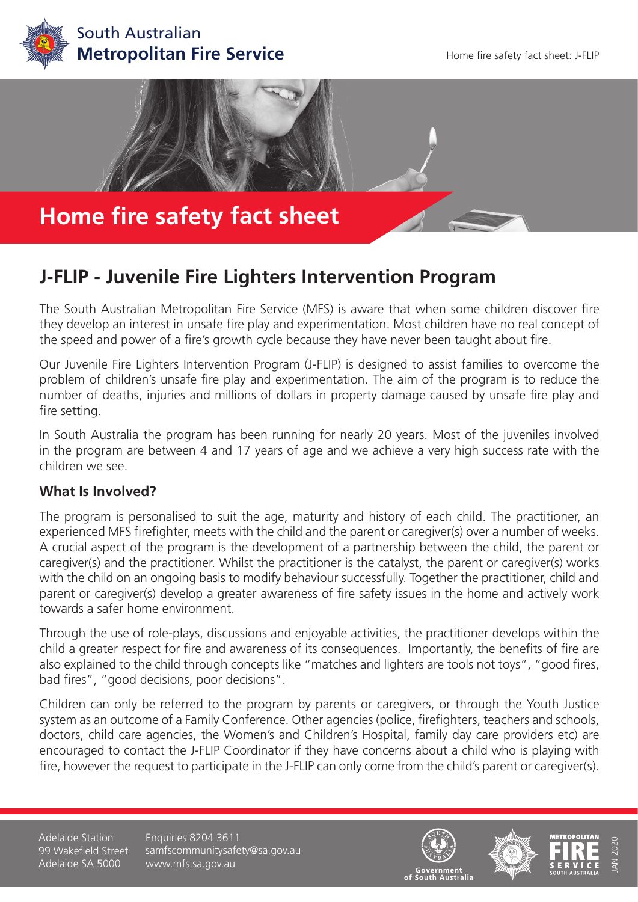



# **J-FLIP - Juvenile Fire Lighters Intervention Program**

The South Australian Metropolitan Fire Service (MFS) is aware that when some children discover fire they develop an interest in unsafe fire play and experimentation. Most children have no real concept of the speed and power of a fire's growth cycle because they have never been taught about fire.

Our Juvenile Fire Lighters Intervention Program (J-FLIP) is designed to assist families to overcome the problem of children's unsafe fire play and experimentation. The aim of the program is to reduce the number of deaths, injuries and millions of dollars in property damage caused by unsafe fire play and fire setting.

In South Australia the program has been running for nearly 20 years. Most of the juveniles involved in the program are between 4 and 17 years of age and we achieve a very high success rate with the children we see.

### **What Is Involved?**

The program is personalised to suit the age, maturity and history of each child. The practitioner, an experienced MFS firefighter, meets with the child and the parent or caregiver(s) over a number of weeks. A crucial aspect of the program is the development of a partnership between the child, the parent or caregiver(s) and the practitioner. Whilst the practitioner is the catalyst, the parent or caregiver(s) works with the child on an ongoing basis to modify behaviour successfully. Together the practitioner, child and parent or caregiver(s) develop a greater awareness of fire safety issues in the home and actively work towards a safer home environment.

Through the use of role-plays, discussions and enjoyable activities, the practitioner develops within the child a greater respect for fire and awareness of its consequences. Importantly, the benefits of fire are also explained to the child through concepts like "matches and lighters are tools not toys", "good fires, bad fires", "good decisions, poor decisions".

Children can only be referred to the program by parents or caregivers, or through the Youth Justice system as an outcome of a Family Conference. Other agencies (police, firefighters, teachers and schools, doctors, child care agencies, the Women's and Children's Hospital, family day care providers etc) are encouraged to contact the J-FLIP Coordinator if they have concerns about a child who is playing with fire, however the request to participate in the J-FLIP can only come from the child's parent or caregiver(s).

Adelaide Station 99 Wakefield Street Adelaide SA 5000

Enquiries 8204 3611 samfscommunitysafety@sa.gov.au www.mfs.sa.gov.au







JAN 2020